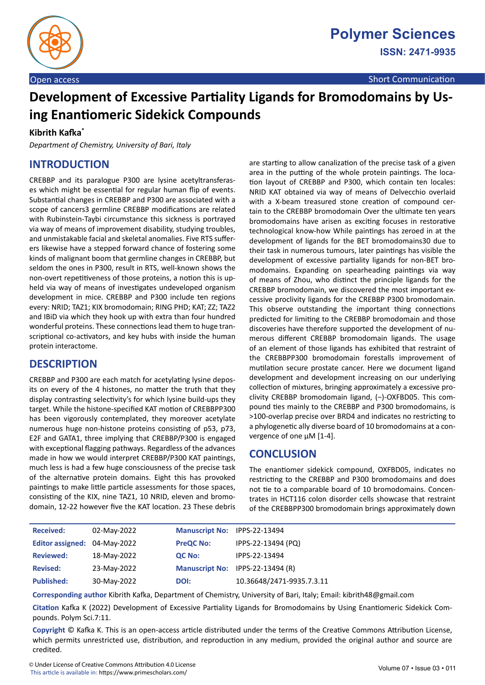

# **Development of Excessive Partiality Ligands for Bromodomains by Using Enantiomeric Sidekick Compounds**

#### **Kibrith Kafka\***

*Department of Chemistry, University of Bari, Italy*

# **INTRODUCTION**

CREBBP and its paralogue P300 are lysine acetyltransferases which might be essential for regular human flip of events. Substantial changes in CREBBP and P300 are associated with a scope of cancers3 germline CREBBP modifications are related with Rubinstein-Taybi circumstance this sickness is portrayed via way of means of improvement disability, studying troubles, and unmistakable facial and skeletal anomalies. Five RTS sufferers likewise have a stepped forward chance of fostering some kinds of malignant boom that germline changes in CREBBP, but seldom the ones in P300, result in RTS, well-known shows the non-overt repetitiveness of those proteins, a notion this is upheld via way of means of investigates undeveloped organism development in mice. CREBBP and P300 include ten regions every: NRID; TAZ1; KIX bromodomain; RING PHD; KAT; ZZ; TAZ2 and IBiD via which they hook up with extra than four hundred wonderful proteins. These connections lead them to huge transcriptional co-activators, and key hubs with inside the human protein interactome.

### **DESCRIPTION**

CREBBP and P300 are each match for acetylating lysine deposits on every of the 4 histones, no matter the truth that they display contrasting selectivity's for which lysine build-ups they target. While the histone-specified KAT motion of CREBBPP300 has been vigorously contemplated, they moreover acetylate numerous huge non-histone proteins consisting of p53, p73, E2F and GATA1, three implying that CREBBP/P300 is engaged with exceptional flagging pathways. Regardless of the advances made in how we would interpret CREBBP/P300 KAT paintings, much less is had a few huge consciousness of the precise task of the alternative protein domains. Eight this has provoked paintings to make little particle assessments for those spaces, consisting of the KIX, nine TAZ1, 10 NRID, eleven and bromodomain, 12-22 however five the KAT location. 23 These debris are starting to allow canalization of the precise task of a given area in the putting of the whole protein paintings. The location layout of CREBBP and P300, which contain ten locales: NRID KAT obtained via way of means of Delvecchio overlaid with a X-beam treasured stone creation of compound certain to the CREBBP bromodomain Over the ultimate ten years bromodomains have arisen as exciting focuses in restorative technological know-how While paintings has zeroed in at the development of ligands for the BET bromodomains30 due to their task in numerous tumours, later paintings has visible the development of excessive partiality ligands for non-BET bromodomains. Expanding on spearheading paintings via way of means of Zhou, who distinct the principle ligands for the CREBBP bromodomain, we discovered the most important excessive proclivity ligands for the CREBBP P300 bromodomain. This observe outstanding the important thing connections predicted for limiting to the CREBBP bromodomain and those discoveries have therefore supported the development of numerous different CREBBP bromodomain ligands. The usage of an element of those ligands has exhibited that restraint of the CREBBPP300 bromodomain forestalls improvement of mutilation secure prostate cancer. Here we document ligand development and development increasing on our underlying collection of mixtures, bringing approximately a excessive proclivity CREBBP bromodomain ligand, (−)-OXFBD05. This compound ties mainly to the CREBBP and P300 bromodomains, is >100-overlap precise over BRD4 and indicates no restricting to a phylogenetic ally diverse board of 10 bromodomains at a convergence of one μM [1-4].

### **CONCLUSION**

The enantiomer sidekick compound, OXFBD05, indicates no restricting to the CREBBP and P300 bromodomains and does not tie to a comparable board of 10 bromodomains. Concentrates in HCT116 colon disorder cells showcase that restraint of the CREBBPP300 bromodomain brings approximately down

| <b>Received:</b>             | 02-May-2022 | Manuscript No: IPPS-22-13494 |                                  |
|------------------------------|-------------|------------------------------|----------------------------------|
| Editor assigned: 04-May-2022 |             | <b>PreQC No:</b>             | IPPS-22-13494 (PQ)               |
| <b>Reviewed:</b>             | 18-May-2022 | <b>QC No:</b>                | IPPS-22-13494                    |
| <b>Revised:</b>              | 23-May-2022 |                              | Manuscript No: IPPS-22-13494 (R) |
| <b>Published:</b>            | 30-May-2022 | DOI:                         | 10.36648/2471-9935.7.3.11        |

**Corresponding author** Kibrith Kafka, Department of Chemistry, University of Bari, Italy; Email: kibrith48@gmail.com

**Citation** Kafka K (2022) Development of Excessive Partiality Ligands for Bromodomains by Using Enantiomeric Sidekick Compounds. Polym Sci.7:11.

**Copyright** © Kafka K. This is an open-access article distributed under the terms of the Creative Commons Attribution License, which permits unrestricted use, distribution, and reproduction in any medium, provided the original author and source are credited.